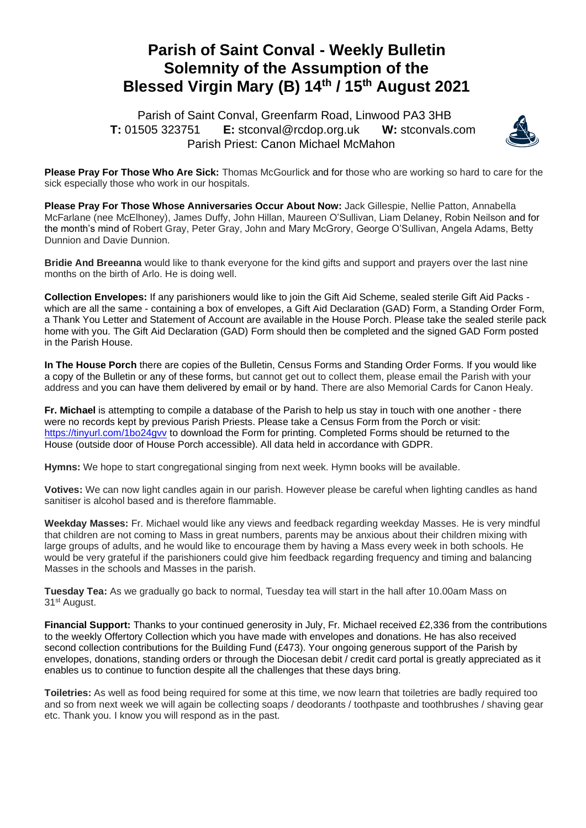## **Parish of Saint Conval - Weekly Bulletin Solemnity of the Assumption of the Blessed Virgin Mary (B) 14th / 15th August 2021**

 Parish of Saint Conval, Greenfarm Road, Linwood PA3 3HB **T:** 01505 323751 **E:** [stconval@rcdop.org.uk](mailto:stconval@rcdop.org.uk) **W:** stconvals.com Parish Priest: Canon Michael McMahon



**Please Pray For Those Who Are Sick:** Thomas McGourlick and for those who are working so hard to care for the sick especially those who work in our hospitals.

**Please Pray For Those Whose Anniversaries Occur About Now:** Jack Gillespie, Nellie Patton, Annabella McFarlane (nee McElhoney), James Duffy, John Hillan, Maureen O'Sullivan, Liam Delaney, Robin Neilson and for the month's mind of Robert Gray, Peter Gray, John and Mary McGrory, George O'Sullivan, Angela Adams, Betty Dunnion and Davie Dunnion.

**Bridie And Breeanna** would like to thank everyone for the kind gifts and support and prayers over the last nine months on the birth of Arlo. He is doing well.

**Collection Envelopes:** If any parishioners would like to join the Gift Aid Scheme, sealed sterile Gift Aid Packs which are all the same - containing a box of envelopes, a Gift Aid Declaration (GAD) Form, a Standing Order Form, a Thank You Letter and Statement of Account are available in the House Porch. Please take the sealed sterile pack home with you. The Gift Aid Declaration (GAD) Form should then be completed and the signed GAD Form posted in the Parish House.

**In The House Porch** there are copies of the Bulletin, Census Forms and Standing Order Forms. If you would like a copy of the Bulletin or any of these forms, but cannot get out to collect them, please email the Parish with your address and you can have them delivered by email or by hand. There are also Memorial Cards for Canon Healy.

**Fr. Michael** is attempting to compile a database of the Parish to help us stay in touch with one another - there were no records kept by previous Parish Priests. Please take a Census Form from the Porch or visit: <https://tinyurl.com/1bo24gvv> to download the Form for printing. Completed Forms should be returned to the House (outside door of House Porch accessible). All data held in accordance with GDPR.

**Hymns:** We hope to start congregational singing from next week. Hymn books will be available.

**Votives:** We can now light candles again in our parish. However please be careful when lighting candles as hand sanitiser is alcohol based and is therefore flammable.

**Weekday Masses:** Fr. Michael would like any views and feedback regarding weekday Masses. He is very mindful that children are not coming to Mass in great numbers, parents may be anxious about their children mixing with large groups of adults, and he would like to encourage them by having a Mass every week in both schools. He would be very grateful if the parishioners could give him feedback regarding frequency and timing and balancing Masses in the schools and Masses in the parish.

**Tuesday Tea:** As we gradually go back to normal, Tuesday tea will start in the hall after 10.00am Mass on 31<sup>st</sup> August.

**Financial Support:** Thanks to your continued generosity in July, Fr. Michael received £2,336 from the contributions to the weekly Offertory Collection which you have made with envelopes and donations. He has also received second collection contributions for the Building Fund (£473). Your ongoing generous support of the Parish by envelopes, donations, standing orders or through the Diocesan debit / credit card portal is greatly appreciated as it enables us to continue to function despite all the challenges that these days bring.

**Toiletries:** As well as food being required for some at this time, we now learn that toiletries are badly required too and so from next week we will again be collecting soaps / deodorants / toothpaste and toothbrushes / shaving gear etc. Thank you. I know you will respond as in the past.